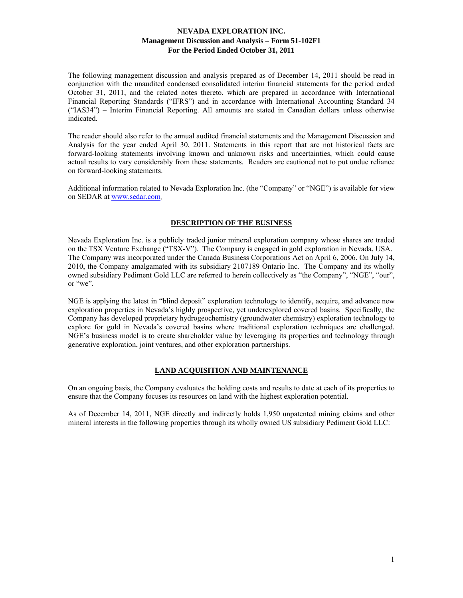The following management discussion and analysis prepared as of December 14, 2011 should be read in conjunction with the unaudited condensed consolidated interim financial statements for the period ended October 31, 2011, and the related notes thereto. which are prepared in accordance with International Financial Reporting Standards ("IFRS") and in accordance with International Accounting Standard 34 ("IAS34") – Interim Financial Reporting. All amounts are stated in Canadian dollars unless otherwise indicated.

The reader should also refer to the annual audited financial statements and the Management Discussion and Analysis for the year ended April 30, 2011. Statements in this report that are not historical facts are forward-looking statements involving known and unknown risks and uncertainties, which could cause actual results to vary considerably from these statements. Readers are cautioned not to put undue reliance on forward-looking statements.

Additional information related to Nevada Exploration Inc. (the "Company" or "NGE") is available for view on SEDAR at www.sedar.com.

### **DESCRIPTION OF THE BUSINESS**

Nevada Exploration Inc. is a publicly traded junior mineral exploration company whose shares are traded on the TSX Venture Exchange ("TSX-V"). The Company is engaged in gold exploration in Nevada, USA. The Company was incorporated under the Canada Business Corporations Act on April 6, 2006. On July 14, 2010, the Company amalgamated with its subsidiary 2107189 Ontario Inc. The Company and its wholly owned subsidiary Pediment Gold LLC are referred to herein collectively as "the Company", "NGE", "our", or "we".

NGE is applying the latest in "blind deposit" exploration technology to identify, acquire, and advance new exploration properties in Nevada's highly prospective, yet underexplored covered basins. Specifically, the Company has developed proprietary hydrogeochemistry (groundwater chemistry) exploration technology to explore for gold in Nevada's covered basins where traditional exploration techniques are challenged. NGE's business model is to create shareholder value by leveraging its properties and technology through generative exploration, joint ventures, and other exploration partnerships.

### **LAND ACQUISITION AND MAINTENANCE**

On an ongoing basis, the Company evaluates the holding costs and results to date at each of its properties to ensure that the Company focuses its resources on land with the highest exploration potential.

As of December 14, 2011, NGE directly and indirectly holds 1,950 unpatented mining claims and other mineral interests in the following properties through its wholly owned US subsidiary Pediment Gold LLC: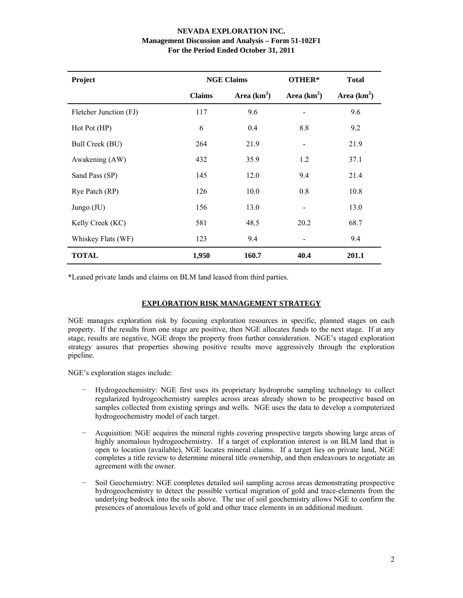| Project                |                                | <b>NGE Claims</b> | OTHER*                       | <b>Total</b> |
|------------------------|--------------------------------|-------------------|------------------------------|--------------|
|                        | Area $(km^2)$<br><b>Claims</b> |                   | Area $(km2)$                 | Area $(km2)$ |
| Fletcher Junction (FJ) | 117                            | 9.6               |                              | 9.6          |
| Hot Pot (HP)           | 6                              | 0.4               | 8.8                          | 9.2          |
| Bull Creek (BU)        | 264                            | 21.9              |                              | 21.9         |
| Awakening (AW)         | 432                            | 35.9              | 1.2                          | 37.1         |
| Sand Pass (SP)         | 145                            | 12.0              | 9.4                          | 21.4         |
| Rye Patch (RP)         | 126                            | 10.0              | 0.8                          | 10.8         |
| Jungo $(JU)$           | 156                            | 13.0              | $\qquad \qquad \blacksquare$ | 13.0         |
| Kelly Creek (KC)       | 581                            | 48.5              | 20.2                         | 68.7         |
| Whiskey Flats (WF)     | 123                            | 9.4               |                              | 9.4          |
| <b>TOTAL</b>           | 1,950                          | 160.7             | 40.4                         | 201.1        |

\*Leased private lands and claims on BLM land leased from third parties.

## **EXPLORATION RISK MANAGEMENT STRATEGY**

NGE manages exploration risk by focusing exploration resources in specific, planned stages on each property. If the results from one stage are positive, then NGE allocates funds to the next stage. If at any stage, results are negative, NGE drops the property from further consideration. NGE's staged exploration strategy assures that properties showing positive results move aggressively through the exploration pipeline.

NGE's exploration stages include:

- − Hydrogeochemistry: NGE first uses its proprietary hydroprobe sampling technology to collect regularized hydrogeochemistry samples across areas already shown to be prospective based on samples collected from existing springs and wells. NGE uses the data to develop a computerized hydrogeochemistry model of each target.
- − Acquisition: NGE acquires the mineral rights covering prospective targets showing large areas of highly anomalous hydrogeochemistry. If a target of exploration interest is on BLM land that is open to location (available), NGE locates mineral claims. If a target lies on private land, NGE completes a title review to determine mineral title ownership, and then endeavours to negotiate an agreement with the owner.
- Soil Geochemistry: NGE completes detailed soil sampling across areas demonstrating prospective hydrogeochemistry to detect the possible vertical migration of gold and trace-elements from the underlying bedrock into the soils above. The use of soil geochemistry allows NGE to confirm the presences of anomalous levels of gold and other trace elements in an additional medium.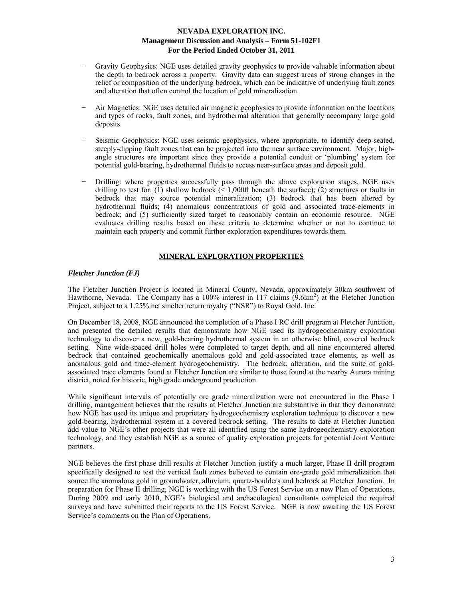- Gravity Geophysics: NGE uses detailed gravity geophysics to provide valuable information about the depth to bedrock across a property. Gravity data can suggest areas of strong changes in the relief or composition of the underlying bedrock, which can be indicative of underlying fault zones and alteration that often control the location of gold mineralization.
- − Air Magnetics: NGE uses detailed air magnetic geophysics to provide information on the locations and types of rocks, fault zones, and hydrothermal alteration that generally accompany large gold deposits.
- Seismic Geophysics: NGE uses seismic geophysics, where appropriate, to identify deep-seated, steeply-dipping fault zones that can be projected into the near surface environment. Major, highangle structures are important since they provide a potential conduit or 'plumbing' system for potential gold-bearing, hydrothermal fluids to access near-surface areas and deposit gold.
- Drilling: where properties successfully pass through the above exploration stages, NGE uses drilling to test for: (1) shallow bedrock  $\ll 1,000$ ft beneath the surface); (2) structures or faults in bedrock that may source potential mineralization; (3) bedrock that has been altered by hydrothermal fluids; (4) anomalous concentrations of gold and associated trace-elements in bedrock; and (5) sufficiently sized target to reasonably contain an economic resource. NGE evaluates drilling results based on these criteria to determine whether or not to continue to maintain each property and commit further exploration expenditures towards them.

### **MINERAL EXPLORATION PROPERTIES**

### *Fletcher Junction (FJ)*

The Fletcher Junction Project is located in Mineral County, Nevada, approximately 30km southwest of Hawthorne, Nevada. The Company has a 100% interest in 117 claims (9.6km<sup>2</sup>) at the Fletcher Junction Project, subject to a 1.25% net smelter return royalty ("NSR") to Royal Gold, Inc.

On December 18, 2008, NGE announced the completion of a Phase I RC drill program at Fletcher Junction, and presented the detailed results that demonstrate how NGE used its hydrogeochemistry exploration technology to discover a new, gold-bearing hydrothermal system in an otherwise blind, covered bedrock setting. Nine wide-spaced drill holes were completed to target depth, and all nine encountered altered bedrock that contained geochemically anomalous gold and gold-associated trace elements, as well as anomalous gold and trace-element hydrogeochemistry. The bedrock, alteration, and the suite of goldassociated trace elements found at Fletcher Junction are similar to those found at the nearby Aurora mining district, noted for historic, high grade underground production.

While significant intervals of potentially ore grade mineralization were not encountered in the Phase I drilling, management believes that the results at Fletcher Junction are substantive in that they demonstrate how NGE has used its unique and proprietary hydrogeochemistry exploration technique to discover a new gold-bearing, hydrothermal system in a covered bedrock setting. The results to date at Fletcher Junction add value to NGE's other projects that were all identified using the same hydrogeochemistry exploration technology, and they establish NGE as a source of quality exploration projects for potential Joint Venture partners.

NGE believes the first phase drill results at Fletcher Junction justify a much larger, Phase II drill program specifically designed to test the vertical fault zones believed to contain ore-grade gold mineralization that source the anomalous gold in groundwater, alluvium, quartz-boulders and bedrock at Fletcher Junction. In preparation for Phase II drilling, NGE is working with the US Forest Service on a new Plan of Operations. During 2009 and early 2010, NGE's biological and archaeological consultants completed the required surveys and have submitted their reports to the US Forest Service. NGE is now awaiting the US Forest Service's comments on the Plan of Operations.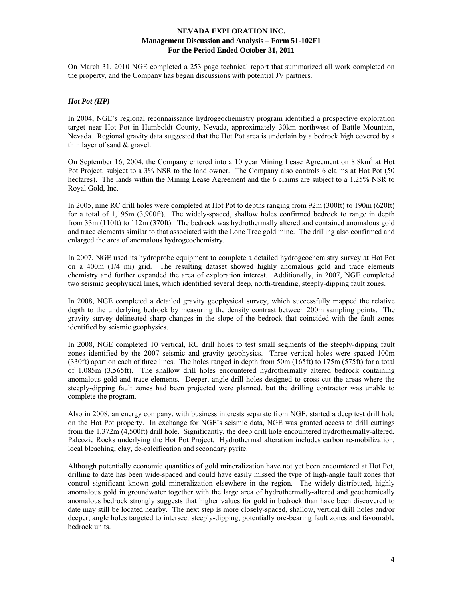On March 31, 2010 NGE completed a 253 page technical report that summarized all work completed on the property, and the Company has began discussions with potential JV partners.

## *Hot Pot (HP)*

In 2004, NGE's regional reconnaissance hydrogeochemistry program identified a prospective exploration target near Hot Pot in Humboldt County, Nevada, approximately 30km northwest of Battle Mountain, Nevada. Regional gravity data suggested that the Hot Pot area is underlain by a bedrock high covered by a thin layer of sand & gravel.

On September 16, 2004, the Company entered into a 10 year Mining Lease Agreement on 8.8km<sup>2</sup> at Hot Pot Project, subject to a 3% NSR to the land owner. The Company also controls 6 claims at Hot Pot (50 hectares). The lands within the Mining Lease Agreement and the 6 claims are subject to a 1.25% NSR to Royal Gold, Inc.

In 2005, nine RC drill holes were completed at Hot Pot to depths ranging from 92m (300ft) to 190m (620ft) for a total of 1,195m (3,900ft). The widely-spaced, shallow holes confirmed bedrock to range in depth from 33m (110ft) to 112m (370ft). The bedrock was hydrothermally altered and contained anomalous gold and trace elements similar to that associated with the Lone Tree gold mine. The drilling also confirmed and enlarged the area of anomalous hydrogeochemistry.

In 2007, NGE used its hydroprobe equipment to complete a detailed hydrogeochemistry survey at Hot Pot on a 400m (1/4 mi) grid. The resulting dataset showed highly anomalous gold and trace elements chemistry and further expanded the area of exploration interest. Additionally, in 2007, NGE completed two seismic geophysical lines, which identified several deep, north-trending, steeply-dipping fault zones.

In 2008, NGE completed a detailed gravity geophysical survey, which successfully mapped the relative depth to the underlying bedrock by measuring the density contrast between 200m sampling points. The gravity survey delineated sharp changes in the slope of the bedrock that coincided with the fault zones identified by seismic geophysics.

In 2008, NGE completed 10 vertical, RC drill holes to test small segments of the steeply-dipping fault zones identified by the 2007 seismic and gravity geophysics. Three vertical holes were spaced 100m (330ft) apart on each of three lines. The holes ranged in depth from 50m (165ft) to 175m (575ft) for a total of 1,085m (3,565ft). The shallow drill holes encountered hydrothermally altered bedrock containing anomalous gold and trace elements. Deeper, angle drill holes designed to cross cut the areas where the steeply-dipping fault zones had been projected were planned, but the drilling contractor was unable to complete the program.

Also in 2008, an energy company, with business interests separate from NGE, started a deep test drill hole on the Hot Pot property. In exchange for NGE's seismic data, NGE was granted access to drill cuttings from the 1,372m (4,500ft) drill hole. Significantly, the deep drill hole encountered hydrothermally-altered, Paleozic Rocks underlying the Hot Pot Project. Hydrothermal alteration includes carbon re-mobilization, local bleaching, clay, de-calcification and secondary pyrite.

Although potentially economic quantities of gold mineralization have not yet been encountered at Hot Pot, drilling to date has been wide-spaced and could have easily missed the type of high-angle fault zones that control significant known gold mineralization elsewhere in the region. The widely-distributed, highly anomalous gold in groundwater together with the large area of hydrothermally-altered and geochemically anomalous bedrock strongly suggests that higher values for gold in bedrock than have been discovered to date may still be located nearby. The next step is more closely-spaced, shallow, vertical drill holes and/or deeper, angle holes targeted to intersect steeply-dipping, potentially ore-bearing fault zones and favourable bedrock units.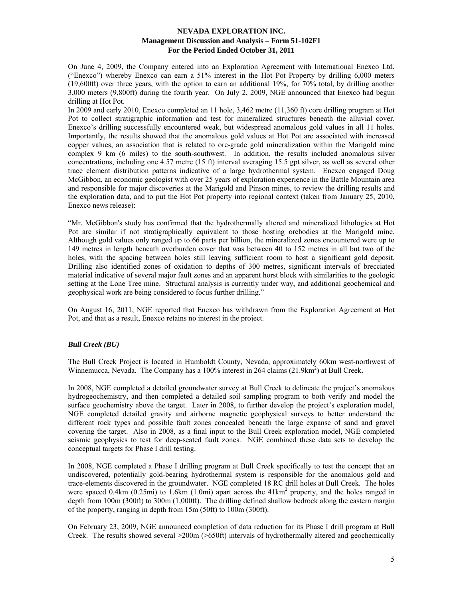On June 4, 2009, the Company entered into an Exploration Agreement with International Enexco Ltd. ("Enexco") whereby Enexco can earn a 51% interest in the Hot Pot Property by drilling 6,000 meters (19,600ft) over three years, with the option to earn an additional 19%, for 70% total, by drilling another 3,000 meters (9,800ft) during the fourth year. On July 2, 2009, NGE announced that Enexco had begun drilling at Hot Pot.

In 2009 and early 2010, Enexco completed an 11 hole, 3,462 metre (11,360 ft) core drilling program at Hot Pot to collect stratigraphic information and test for mineralized structures beneath the alluvial cover. Enexco's drilling successfully encountered weak, but widespread anomalous gold values in all 11 holes. Importantly, the results showed that the anomalous gold values at Hot Pot are associated with increased copper values, an association that is related to ore-grade gold mineralization within the Marigold mine complex 9 km (6 miles) to the south-southwest. In addition, the results included anomalous silver concentrations, including one 4.57 metre (15 ft) interval averaging 15.5 gpt silver, as well as several other trace element distribution patterns indicative of a large hydrothermal system. Enexco engaged Doug McGibbon, an economic geologist with over 25 years of exploration experience in the Battle Mountain area and responsible for major discoveries at the Marigold and Pinson mines, to review the drilling results and the exploration data, and to put the Hot Pot property into regional context (taken from January 25, 2010, Enexco news release):

"Mr. McGibbon's study has confirmed that the hydrothermally altered and mineralized lithologies at Hot Pot are similar if not stratigraphically equivalent to those hosting orebodies at the Marigold mine. Although gold values only ranged up to 66 parts per billion, the mineralized zones encountered were up to 149 metres in length beneath overburden cover that was between 40 to 152 metres in all but two of the holes, with the spacing between holes still leaving sufficient room to host a significant gold deposit. Drilling also identified zones of oxidation to depths of 300 metres, significant intervals of brecciated material indicative of several major fault zones and an apparent horst block with similarities to the geologic setting at the Lone Tree mine. Structural analysis is currently under way, and additional geochemical and geophysical work are being considered to focus further drilling."

On August 16, 2011, NGE reported that Enexco has withdrawn from the Exploration Agreement at Hot Pot, and that as a result, Enexco retains no interest in the project.

### *Bull Creek (BU)*

The Bull Creek Project is located in Humboldt County, Nevada, approximately 60km west-northwest of Winnemucca, Nevada. The Company has a 100% interest in 264 claims (21.9km<sup>2</sup>) at Bull Creek.

In 2008, NGE completed a detailed groundwater survey at Bull Creek to delineate the project's anomalous hydrogeochemistry, and then completed a detailed soil sampling program to both verify and model the surface geochemistry above the target. Later in 2008, to further develop the project's exploration model, NGE completed detailed gravity and airborne magnetic geophysical surveys to better understand the different rock types and possible fault zones concealed beneath the large expanse of sand and gravel covering the target. Also in 2008, as a final input to the Bull Creek exploration model, NGE completed seismic geophysics to test for deep-seated fault zones. NGE combined these data sets to develop the conceptual targets for Phase I drill testing.

In 2008, NGE completed a Phase I drilling program at Bull Creek specifically to test the concept that an undiscovered, potentially gold-bearing hydrothermal system is responsible for the anomalous gold and trace-elements discovered in the groundwater. NGE completed 18 RC drill holes at Bull Creek. The holes were spaced 0.4km (0.25mi) to 1.6km (1.0mi) apart across the  $41 \text{km}^2$  property, and the holes ranged in depth from 100m (300ft) to 300m (1,000ft). The drilling defined shallow bedrock along the eastern margin of the property, ranging in depth from 15m (50ft) to 100m (300ft).

On February 23, 2009, NGE announced completion of data reduction for its Phase I drill program at Bull Creek. The results showed several >200m (>650ft) intervals of hydrothermally altered and geochemically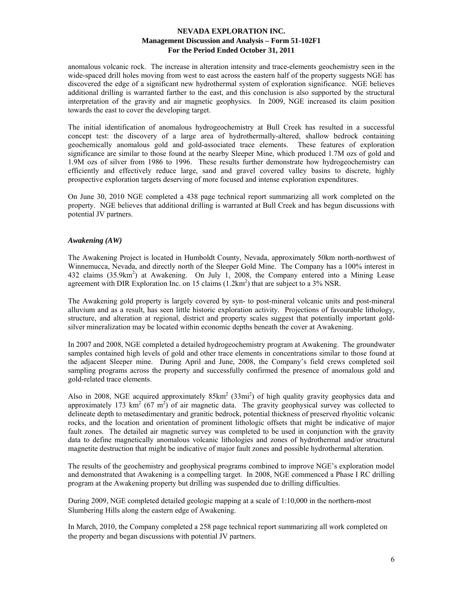anomalous volcanic rock. The increase in alteration intensity and trace-elements geochemistry seen in the wide-spaced drill holes moving from west to east across the eastern half of the property suggests NGE has discovered the edge of a significant new hydrothermal system of exploration significance. NGE believes additional drilling is warranted farther to the east, and this conclusion is also supported by the structural interpretation of the gravity and air magnetic geophysics. In 2009, NGE increased its claim position towards the east to cover the developing target.

The initial identification of anomalous hydrogeochemistry at Bull Creek has resulted in a successful concept test: the discovery of a large area of hydrothermally-altered, shallow bedrock containing geochemically anomalous gold and gold-associated trace elements. These features of exploration significance are similar to those found at the nearby Sleeper Mine, which produced 1.7M ozs of gold and 1.9M ozs of silver from 1986 to 1996. These results further demonstrate how hydrogeochemistry can efficiently and effectively reduce large, sand and gravel covered valley basins to discrete, highly prospective exploration targets deserving of more focused and intense exploration expenditures.

On June 30, 2010 NGE completed a 438 page technical report summarizing all work completed on the property. NGE believes that additional drilling is warranted at Bull Creek and has begun discussions with potential JV partners.

## *Awakening (AW)*

The Awakening Project is located in Humboldt County, Nevada, approximately 50km north-northwest of Winnemucca, Nevada, and directly north of the Sleeper Gold Mine. The Company has a 100% interest in 432 claims (35.9km<sup>2</sup>) at Awakening. On July 1, 2008, the Company entered into a Mining Lease agreement with DIR Exploration Inc. on 15 claims  $(1.2 \text{km}^2)$  that are subject to a 3% NSR.

The Awakening gold property is largely covered by syn- to post-mineral volcanic units and post-mineral alluvium and as a result, has seen little historic exploration activity. Projections of favourable lithology, structure, and alteration at regional, district and property scales suggest that potentially important goldsilver mineralization may be located within economic depths beneath the cover at Awakening.

In 2007 and 2008, NGE completed a detailed hydrogeochemistry program at Awakening. The groundwater samples contained high levels of gold and other trace elements in concentrations similar to those found at the adjacent Sleeper mine. During April and June, 2008, the Company's field crews completed soil sampling programs across the property and successfully confirmed the presence of anomalous gold and gold-related trace elements.

Also in 2008, NGE acquired approximately  $85 \text{km}^2$  (33mi<sup>2</sup>) of high quality gravity geophysics data and approximately 173  $\text{km}^2$  (67 m<sup>2</sup>) of air magnetic data. The gravity geophysical survey was collected to delineate depth to metasedimentary and granitic bedrock, potential thickness of preserved rhyolitic volcanic rocks, and the location and orientation of prominent lithologic offsets that might be indicative of major fault zones. The detailed air magnetic survey was completed to be used in conjunction with the gravity data to define magnetically anomalous volcanic lithologies and zones of hydrothermal and/or structural magnetite destruction that might be indicative of major fault zones and possible hydrothermal alteration.

The results of the geochemistry and geophysical programs combined to improve NGE's exploration model and demonstrated that Awakening is a compelling target. In 2008, NGE commenced a Phase I RC drilling program at the Awakening property but drilling was suspended due to drilling difficulties.

During 2009, NGE completed detailed geologic mapping at a scale of 1:10,000 in the northern-most Slumbering Hills along the eastern edge of Awakening.

In March, 2010, the Company completed a 258 page technical report summarizing all work completed on the property and began discussions with potential JV partners.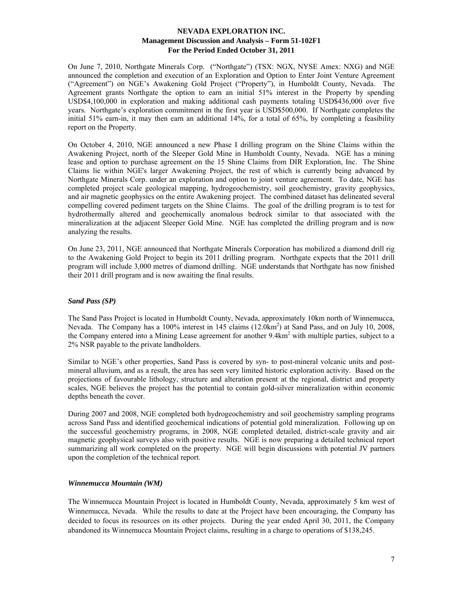On June 7, 2010, Northgate Minerals Corp. ("Northgate") (TSX: NGX, NYSE Amex: NXG) and NGE announced the completion and execution of an Exploration and Option to Enter Joint Venture Agreement ("Agreement") on NGE's Awakening Gold Project ("Property"), in Humboldt County, Nevada. The Agreement grants Northgate the option to earn an initial 51% interest in the Property by spending USD\$4,100,000 in exploration and making additional cash payments totaling USD\$436,000 over five years. Northgate's exploration commitment in the first year is USD\$500,000. If Northgate completes the initial 51% earn-in, it may then earn an additional 14%, for a total of 65%, by completing a feasibility report on the Property.

On October 4, 2010, NGE announced a new Phase I drilling program on the Shine Claims within the Awakening Project, north of the Sleeper Gold Mine in Humboldt County, Nevada. NGE has a mining lease and option to purchase agreement on the 15 Shine Claims from DIR Exploration, Inc. The Shine Claims lie within NGE's larger Awakening Project, the rest of which is currently being advanced by Northgate Minerals Corp. under an exploration and option to joint venture agreement. To date, NGE has completed project scale geological mapping, hydrogeochemistry, soil geochemistry, gravity geophysics, and air magnetic geophysics on the entire Awakening project. The combined dataset has delineated several compelling covered pediment targets on the Shine Claims. The goal of the drilling program is to test for hydrothermally altered and geochemically anomalous bedrock similar to that associated with the mineralization at the adjacent Sleeper Gold Mine. NGE has completed the drilling program and is now analyzing the results.

On June 23, 2011, NGE announced that Northgate Minerals Corporation has mobilized a diamond drill rig to the Awakening Gold Project to begin its 2011 drilling program. Northgate expects that the 2011 drill program will include 3,000 metres of diamond drilling. NGE understands that Northgate has now finished their 2011 drill program and is now awaiting the final results.

### *Sand Pass (SP)*

The Sand Pass Project is located in Humboldt County, Nevada, approximately 10km north of Winnemucca, Nevada. The Company has a 100% interest in 145 claims (12.0km<sup>2</sup>) at Sand Pass, and on July 10, 2008, the Company entered into a Mining Lease agreement for another 9.4km<sup>2</sup> with multiple parties, subject to a 2% NSR payable to the private landholders.

Similar to NGE's other properties, Sand Pass is covered by syn- to post-mineral volcanic units and postmineral alluvium, and as a result, the area has seen very limited historic exploration activity. Based on the projections of favourable lithology, structure and alteration present at the regional, district and property scales, NGE believes the project has the potential to contain gold-silver mineralization within economic depths beneath the cover.

During 2007 and 2008, NGE completed both hydrogeochemistry and soil geochemistry sampling programs across Sand Pass and identified geochemical indications of potential gold mineralization. Following up on the successful geochemistry programs, in 2008, NGE completed detailed, district-scale gravity and air magnetic geophysical surveys also with positive results. NGE is now preparing a detailed technical report summarizing all work completed on the property. NGE will begin discussions with potential JV partners upon the completion of the technical report.

### *Winnemucca Mountain (WM)*

The Winnemucca Mountain Project is located in Humboldt County, Nevada, approximately 5 km west of Winnemucca, Nevada. While the results to date at the Project have been encouraging, the Company has decided to focus its resources on its other projects. During the year ended April 30, 2011, the Company abandoned its Winnemucca Mountain Project claims, resulting in a charge to operations of \$138,245.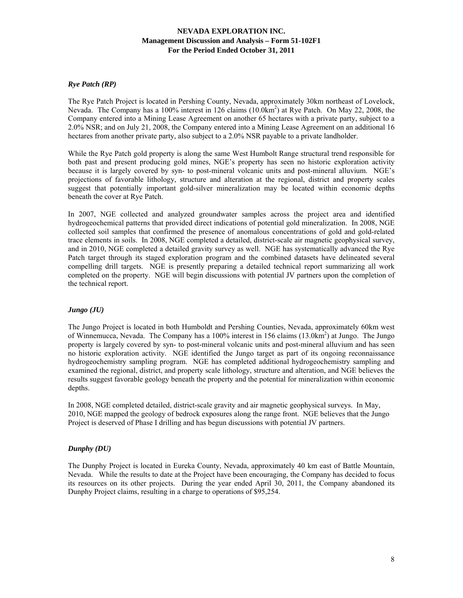### *Rye Patch (RP)*

The Rye Patch Project is located in Pershing County, Nevada, approximately 30km northeast of Lovelock, Nevada. The Company has a 100% interest in 126 claims (10.0km<sup>2</sup>) at Rye Patch. On May 22, 2008, the Company entered into a Mining Lease Agreement on another 65 hectares with a private party, subject to a 2.0% NSR; and on July 21, 2008, the Company entered into a Mining Lease Agreement on an additional 16 hectares from another private party, also subject to a 2.0% NSR payable to a private landholder.

While the Rye Patch gold property is along the same West Humbolt Range structural trend responsible for both past and present producing gold mines, NGE's property has seen no historic exploration activity because it is largely covered by syn- to post-mineral volcanic units and post-mineral alluvium. NGE's projections of favorable lithology, structure and alteration at the regional, district and property scales suggest that potentially important gold-silver mineralization may be located within economic depths beneath the cover at Rye Patch.

In 2007, NGE collected and analyzed groundwater samples across the project area and identified hydrogeochemical patterns that provided direct indications of potential gold mineralization. In 2008, NGE collected soil samples that confirmed the presence of anomalous concentrations of gold and gold-related trace elements in soils. In 2008, NGE completed a detailed, district-scale air magnetic geophysical survey, and in 2010, NGE completed a detailed gravity survey as well. NGE has systematically advanced the Rye Patch target through its staged exploration program and the combined datasets have delineated several compelling drill targets. NGE is presently preparing a detailed technical report summarizing all work completed on the property. NGE will begin discussions with potential JV partners upon the completion of the technical report.

### *Jungo (JU)*

The Jungo Project is located in both Humboldt and Pershing Counties, Nevada, approximately 60km west of Winnemucca, Nevada. The Company has a 100% interest in 156 claims (13.0km<sup>2</sup>) at Jungo. The Jungo property is largely covered by syn- to post-mineral volcanic units and post-mineral alluvium and has seen no historic exploration activity. NGE identified the Jungo target as part of its ongoing reconnaissance hydrogeochemistry sampling program. NGE has completed additional hydrogeochemistry sampling and examined the regional, district, and property scale lithology, structure and alteration, and NGE believes the results suggest favorable geology beneath the property and the potential for mineralization within economic depths.

In 2008, NGE completed detailed, district-scale gravity and air magnetic geophysical surveys. In May, 2010, NGE mapped the geology of bedrock exposures along the range front. NGE believes that the Jungo Project is deserved of Phase I drilling and has begun discussions with potential JV partners.

### *Dunphy (DU)*

The Dunphy Project is located in Eureka County, Nevada, approximately 40 km east of Battle Mountain, Nevada. While the results to date at the Project have been encouraging, the Company has decided to focus its resources on its other projects. During the year ended April 30, 2011, the Company abandoned its Dunphy Project claims, resulting in a charge to operations of \$95,254.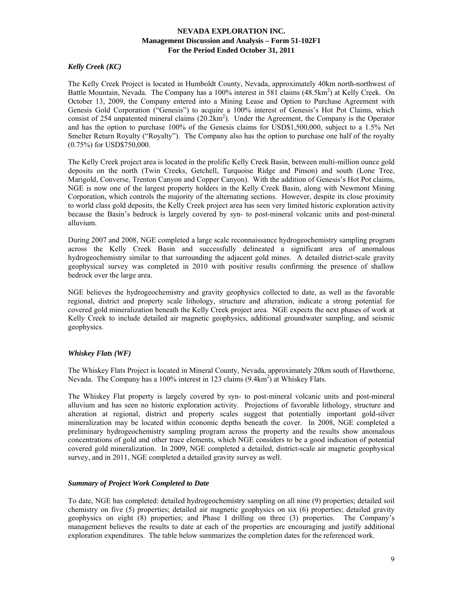## *Kelly Creek (KC)*

The Kelly Creek Project is located in Humboldt County, Nevada, approximately 40km north-northwest of Battle Mountain, Nevada. The Company has a 100% interest in 581 claims (48.5km<sup>2</sup>) at Kelly Creek. On October 13, 2009, the Company entered into a Mining Lease and Option to Purchase Agreement with Genesis Gold Corporation ("Genesis") to acquire a 100% interest of Genesis's Hot Pot Claims, which consist of 254 unpatented mineral claims  $(20.2 \text{km}^2)$ . Under the Agreement, the Company is the Operator and has the option to purchase 100% of the Genesis claims for USD\$1,500,000, subject to a 1.5% Net Smelter Return Royalty ("Royalty"). The Company also has the option to purchase one half of the royalty (0.75%) for USD\$750,000.

The Kelly Creek project area is located in the prolific Kelly Creek Basin, between multi-million ounce gold deposits on the north (Twin Creeks, Getchell, Turquoise Ridge and Pinson) and south (Lone Tree, Marigold, Converse, Trenton Canyon and Copper Canyon). With the addition of Genesis's Hot Pot claims, NGE is now one of the largest property holders in the Kelly Creek Basin, along with Newmont Mining Corporation, which controls the majority of the alternating sections. However, despite its close proximity to world class gold deposits, the Kelly Creek project area has seen very limited historic exploration activity because the Basin's bedrock is largely covered by syn- to post-mineral volcanic units and post-mineral alluvium.

During 2007 and 2008, NGE completed a large scale reconnaissance hydrogeochemistry sampling program across the Kelly Creek Basin and successfully delineated a significant area of anomalous hydrogeochemistry similar to that surrounding the adjacent gold mines. A detailed district-scale gravity geophysical survey was completed in 2010 with positive results confirming the presence of shallow bedrock over the large area.

NGE believes the hydrogeochemistry and gravity geophysics collected to date, as well as the favorable regional, district and property scale lithology, structure and alteration, indicate a strong potential for covered gold mineralization beneath the Kelly Creek project area. NGE expects the next phases of work at Kelly Creek to include detailed air magnetic geophysics, additional groundwater sampling, and seismic geophysics.

### *Whiskey Flats (WF)*

The Whiskey Flats Project is located in Mineral County, Nevada, approximately 20km south of Hawthorne, Nevada. The Company has a 100% interest in 123 claims (9.4km<sup>2</sup>) at Whiskey Flats.

The Whiskey Flat property is largely covered by syn- to post-mineral volcanic units and post-mineral alluvium and has seen no historic exploration activity. Projections of favorable lithology, structure and alteration at regional, district and property scales suggest that potentially important gold-silver mineralization may be located within economic depths beneath the cover. In 2008, NGE completed a preliminary hydrogeochemistry sampling program across the property and the results show anomalous concentrations of gold and other trace elements, which NGE considers to be a good indication of potential covered gold mineralization. In 2009, NGE completed a detailed, district-scale air magnetic geophysical survey, and in 2011, NGE completed a detailed gravity survey as well.

### *Summary of Project Work Completed to Date*

To date, NGE has completed: detailed hydrogeochemistry sampling on all nine (9) properties; detailed soil chemistry on five (5) properties; detailed air magnetic geophysics on six (6) properties; detailed gravity geophysics on eight (8) properties; and Phase I drilling on three (3) properties. The Company's management believes the results to date at each of the properties are encouraging and justify additional exploration expenditures. The table below summarizes the completion dates for the referenced work.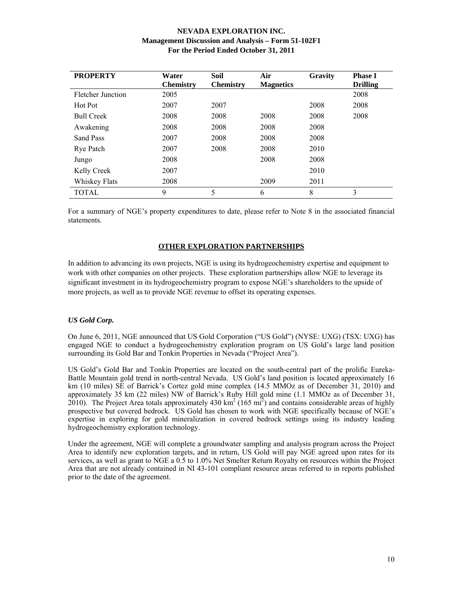| <b>PROPERTY</b>   | Water<br><b>Chemistry</b> | Soil<br><b>Chemistry</b> | Air<br><b>Magnetics</b> | Gravity | <b>Phase I</b><br><b>Drilling</b> |
|-------------------|---------------------------|--------------------------|-------------------------|---------|-----------------------------------|
| Fletcher Junction | 2005                      |                          |                         |         | 2008                              |
| Hot Pot           | 2007                      | 2007                     |                         | 2008    | 2008                              |
| <b>Bull Creek</b> | 2008                      | 2008                     | 2008                    | 2008    | 2008                              |
| Awakening         | 2008                      | 2008                     | 2008                    | 2008    |                                   |
| Sand Pass         | 2007                      | 2008                     | 2008                    | 2008    |                                   |
| Rye Patch         | 2007                      | 2008                     | 2008                    | 2010    |                                   |
| Jungo             | 2008                      |                          | 2008                    | 2008    |                                   |
| Kelly Creek       | 2007                      |                          |                         | 2010    |                                   |
| Whiskey Flats     | 2008                      |                          | 2009                    | 2011    |                                   |
| <b>TOTAL</b>      | 9                         | 5                        | 6                       | 8       | 3                                 |

For a summary of NGE's property expenditures to date, please refer to Note 8 in the associated financial statements.

### **OTHER EXPLORATION PARTNERSHIPS**

In addition to advancing its own projects, NGE is using its hydrogeochemistry expertise and equipment to work with other companies on other projects. These exploration partnerships allow NGE to leverage its significant investment in its hydrogeochemistry program to expose NGE's shareholders to the upside of more projects, as well as to provide NGE revenue to offset its operating expenses.

### *US Gold Corp.*

On June 6, 2011, NGE announced that US Gold Corporation ("US Gold") (NYSE: UXG) (TSX: UXG) has engaged NGE to conduct a hydrogeochemistry exploration program on US Gold's large land position surrounding its Gold Bar and Tonkin Properties in Nevada ("Project Area").

US Gold's Gold Bar and Tonkin Properties are located on the south-central part of the prolific Eureka-Battle Mountain gold trend in north-central Nevada. US Gold's land position is located approximately 16 km (10 miles) SE of Barrick's Cortez gold mine complex (14.5 MMOz as of December 31, 2010) and approximately 35 km (22 miles) NW of Barrick's Ruby Hill gold mine (1.1 MMOz as of December 31,  $2010$ ). The Project Area totals approximately 430 km<sup>2</sup> (165 mi<sup>2</sup>) and contains considerable areas of highly prospective but covered bedrock. US Gold has chosen to work with NGE specifically because of NGE's expertise in exploring for gold mineralization in covered bedrock settings using its industry leading hydrogeochemistry exploration technology.

Under the agreement, NGE will complete a groundwater sampling and analysis program across the Project Area to identify new exploration targets, and in return, US Gold will pay NGE agreed upon rates for its services, as well as grant to NGE a 0.5 to 1.0% Net Smelter Return Royalty on resources within the Project Area that are not already contained in NI 43-101 compliant resource areas referred to in reports published prior to the date of the agreement.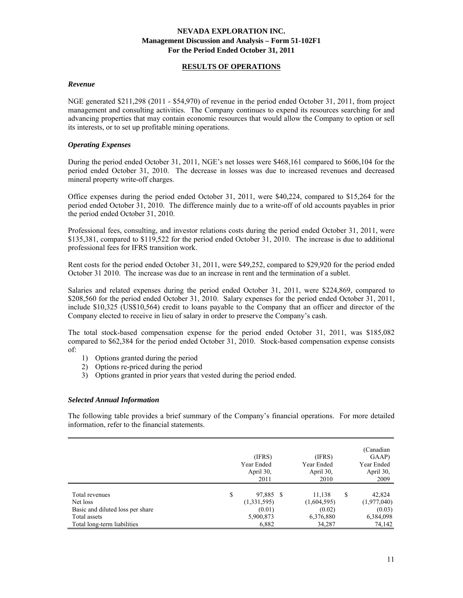### **RESULTS OF OPERATIONS**

#### *Revenue*

NGE generated \$211,298 (2011 - \$54,970) of revenue in the period ended October 31, 2011, from project management and consulting activities. The Company continues to expend its resources searching for and advancing properties that may contain economic resources that would allow the Company to option or sell its interests, or to set up profitable mining operations.

### *Operating Expenses*

During the period ended October 31, 2011, NGE's net losses were \$468,161 compared to \$606,104 for the period ended October 31, 2010. The decrease in losses was due to increased revenues and decreased mineral property write-off charges.

Office expenses during the period ended October 31, 2011, were \$40,224, compared to \$15,264 for the period ended October 31, 2010. The difference mainly due to a write-off of old accounts payables in prior the period ended October 31, 2010.

Professional fees, consulting, and investor relations costs during the period ended October 31, 2011, were \$135,381, compared to \$119,522 for the period ended October 31, 2010. The increase is due to additional professional fees for IFRS transition work.

Rent costs for the period ended October 31, 2011, were \$49,252, compared to \$29,920 for the period ended October 31 2010. The increase was due to an increase in rent and the termination of a sublet.

Salaries and related expenses during the period ended October 31, 2011, were \$224,869, compared to \$208,560 for the period ended October 31, 2010. Salary expenses for the period ended October 31, 2011, include \$10,325 (US\$10,564) credit to loans payable to the Company that an officer and director of the Company elected to receive in lieu of salary in order to preserve the Company's cash.

The total stock-based compensation expense for the period ended October 31, 2011, was \$185,082 compared to \$62,384 for the period ended October 31, 2010. Stock-based compensation expense consists of:

- 1) Options granted during the period
- 2) Options re-priced during the period
- 3) Options granted in prior years that vested during the period ended.

#### *Selected Annual Information*

The following table provides a brief summary of the Company's financial operations. For more detailed information, refer to the financial statements.

|                                                                                | (IFRS)<br>Year Ended<br>April 30,<br>2011             | (IFRS)<br>Year Ended<br>April 30,<br>2010    |   | (Canadian<br>GAAP)<br>Year Ended<br>April 30,<br>2009 |
|--------------------------------------------------------------------------------|-------------------------------------------------------|----------------------------------------------|---|-------------------------------------------------------|
| Total revenues<br>Net loss<br>Basic and diluted loss per share<br>Total assets | \$<br>97,885 \$<br>(1,331,595)<br>(0.01)<br>5,900,873 | 11,138<br>(1,604,595)<br>(0.02)<br>6,376,880 | S | 42,824<br>(1,977,040)<br>(0.03)<br>6,384,098          |
| Total long-term liabilities                                                    | 6,882                                                 | 34,287                                       |   | 74,142                                                |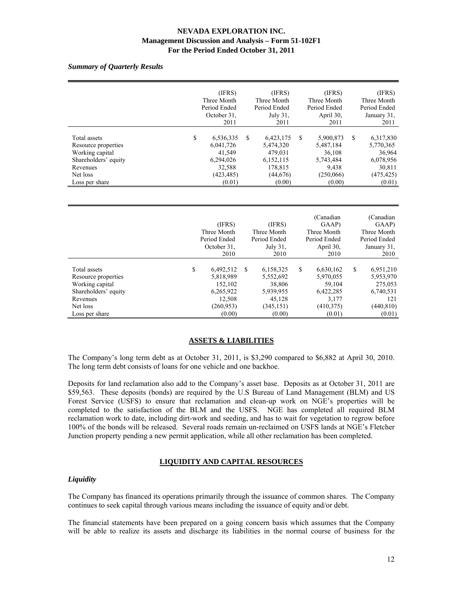*Summary of Quarterly Results* 

|                                                                                                                          | (IFRS)<br>Three Month<br>Period Ended<br>October 31,<br>2011                          |    | (IFRS)<br>Three Month<br>Period Ended<br>July 31,<br>2011                       |    | (IFRS)<br>Three Month<br>Period Ended<br>April 30,<br>2011                    |    | (IFRS)<br>Three Month<br>Period Ended<br>January 31,<br>2011                    |
|--------------------------------------------------------------------------------------------------------------------------|---------------------------------------------------------------------------------------|----|---------------------------------------------------------------------------------|----|-------------------------------------------------------------------------------|----|---------------------------------------------------------------------------------|
| Total assets<br>Resource properties<br>Working capital<br>Shareholders' equity<br>Revenues<br>Net loss<br>Loss per share | \$<br>6,536,335<br>6,041,726<br>41,549<br>6,294,026<br>32,588<br>(423, 485)<br>(0.01) | S  | 6,423,175<br>5,474,320<br>479,031<br>6,152,115<br>178,815<br>(44,676)<br>(0.00) | S  | 5,900,873<br>5,487,184<br>36,108<br>5,743,484<br>9,438<br>(250,066)<br>(0.00) | \$ | 6,317,830<br>5,770,365<br>36,964<br>6,078,956<br>30,811<br>(475, 425)<br>(0.01) |
|                                                                                                                          |                                                                                       |    |                                                                                 |    |                                                                               |    |                                                                                 |
|                                                                                                                          | (IFRS)<br>Three Month<br>Period Ended<br>October 31.<br>2010                          |    | (IFRS)<br>Three Month<br>Period Ended<br>July 31,<br>2010                       |    | (Canadian<br>GAAP)<br>Three Month<br>Period Ended<br>April 30,<br>2010        |    | (Canadian<br>GAAP)<br>Three Month<br>Period Ended<br>January 31,<br>2010        |
| Total assets<br>Resource properties<br>Working capital<br>Shareholders' equity<br>Revenues                               | \$<br>6,492,512<br>5,818,989<br>152,102<br>6,265,922<br>12,508                        | \$ | 6,158,325<br>5,552,692<br>38,806<br>5,939,955<br>45,128                         | \$ | 6,630,162<br>5,970,055<br>59,104<br>6,422,285<br>3,177                        | S  | 6,951,210<br>5,953,970<br>275,053<br>6,740,531<br>121                           |

# **ASSETS & LIABILITIES**

Net loss (260,953) (345,151) (410,375) (440,810) Loss per share (0.00) (0.00) (0.00) (0.01) (0.01) (0.01)

The Company's long term debt as at October 31, 2011, is \$3,290 compared to \$6,882 at April 30, 2010. The long term debt consists of loans for one vehicle and one backhoe.

Deposits for land reclamation also add to the Company's asset base. Deposits as at October 31, 2011 are \$59,563. These deposits (bonds) are required by the U.S Bureau of Land Management (BLM) and US Forest Service (USFS) to ensure that reclamation and clean-up work on NGE's properties will be completed to the satisfaction of the BLM and the USFS. NGE has completed all required BLM reclamation work to date, including dirt-work and seeding, and has to wait for vegetation to regrow before 100% of the bonds will be released. Several roads remain un-reclaimed on USFS lands at NGE's Fletcher Junction property pending a new permit application, while all other reclamation has been completed.

### **LIQUIDITY AND CAPITAL RESOURCES**

#### *Liquidity*

The Company has financed its operations primarily through the issuance of common shares. The Company continues to seek capital through various means including the issuance of equity and/or debt.

The financial statements have been prepared on a going concern basis which assumes that the Company will be able to realize its assets and discharge its liabilities in the normal course of business for the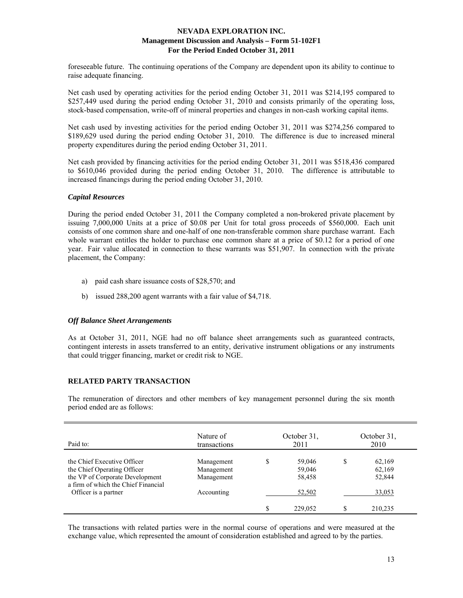foreseeable future. The continuing operations of the Company are dependent upon its ability to continue to raise adequate financing.

Net cash used by operating activities for the period ending October 31, 2011 was \$214,195 compared to \$257,449 used during the period ending October 31, 2010 and consists primarily of the operating loss, stock-based compensation, write-off of mineral properties and changes in non-cash working capital items.

Net cash used by investing activities for the period ending October 31, 2011 was \$274,256 compared to \$189,629 used during the period ending October 31, 2010. The difference is due to increased mineral property expenditures during the period ending October 31, 2011.

Net cash provided by financing activities for the period ending October 31, 2011 was \$518,436 compared to \$610,046 provided during the period ending October 31, 2010. The difference is attributable to increased financings during the period ending October 31, 2010.

### *Capital Resources*

During the period ended October 31, 2011 the Company completed a non-brokered private placement by issuing 7,000,000 Units at a price of \$0.08 per Unit for total gross proceeds of \$560,000. Each unit consists of one common share and one-half of one non-transferable common share purchase warrant. Each whole warrant entitles the holder to purchase one common share at a price of \$0.12 for a period of one year. Fair value allocated in connection to these warrants was \$51,907. In connection with the private placement, the Company:

- a) paid cash share issuance costs of \$28,570; and
- b) issued 288,200 agent warrants with a fair value of \$4,718.

### *Off Balance Sheet Arrangements*

As at October 31, 2011, NGE had no off balance sheet arrangements such as guaranteed contracts, contingent interests in assets transferred to an entity, derivative instrument obligations or any instruments that could trigger financing, market or credit risk to NGE.

### **RELATED PARTY TRANSACTION**

The remuneration of directors and other members of key management personnel during the six month period ended are as follows:

| Paid to:                                                                                                                             | Nature of<br>transactions              |   | October 31.<br>2011        | October 31.<br>2010        |
|--------------------------------------------------------------------------------------------------------------------------------------|----------------------------------------|---|----------------------------|----------------------------|
| the Chief Executive Officer<br>the Chief Operating Officer<br>the VP of Corporate Development<br>a firm of which the Chief Financial | Management<br>Management<br>Management | S | 59,046<br>59,046<br>58,458 | 62,169<br>62,169<br>52,844 |
| Officer is a partner                                                                                                                 | Accounting                             |   | 52,502                     | 33,053                     |
|                                                                                                                                      |                                        |   | 229,052                    | 210,235                    |

The transactions with related parties were in the normal course of operations and were measured at the exchange value, which represented the amount of consideration established and agreed to by the parties.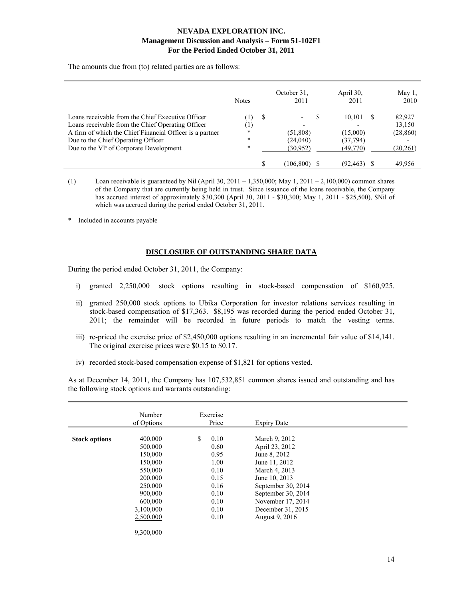The amounts due from (to) related parties are as follows:

|                                                                                                                                                                                                                                                    | <b>Notes</b>                                      |   | October 31.<br>2011               | April 30,<br>2011                          | May $1$ ,<br>2010                         |
|----------------------------------------------------------------------------------------------------------------------------------------------------------------------------------------------------------------------------------------------------|---------------------------------------------------|---|-----------------------------------|--------------------------------------------|-------------------------------------------|
| Loans receivable from the Chief Executive Officer<br>Loans receivable from the Chief Operating Officer<br>A firm of which the Chief Financial Officer is a partner<br>Due to the Chief Operating Officer<br>Due to the VP of Corporate Development | $\perp$<br>$^{(1)}$<br>$\ast$<br>$\ast$<br>$\ast$ | S | (51,808)<br>(24,040)<br>(30, 952) | 10,101<br>(15,000)<br>(37,794)<br>(49,770) | 82,927<br>13,150<br>(28, 860)<br>(20,261) |
|                                                                                                                                                                                                                                                    |                                                   |   | 106,800)                          | (92, 463)                                  | 49.956                                    |

(1) Loan receivable is guaranteed by Nil (April 30, 2011 – 1,350,000; May 1, 2011 – 2,100,000) common shares of the Company that are currently being held in trust. Since issuance of the loans receivable, the Company has accrued interest of approximately \$30,300 (April 30, 2011 - \$30,300; May 1, 2011 - \$25,500), \$Nil of which was accrued during the period ended October 31, 2011.

\* Included in accounts payable

### **DISCLOSURE OF OUTSTANDING SHARE DATA**

During the period ended October 31, 2011, the Company:

- i) granted 2,250,000 stock options resulting in stock-based compensation of \$160,925.
- ii) granted 250,000 stock options to Ubika Corporation for investor relations services resulting in stock-based compensation of \$17,363. \$8,195 was recorded during the period ended October 31, 2011; the remainder will be recorded in future periods to match the vesting terms.
- iii) re-priced the exercise price of \$2,450,000 options resulting in an incremental fair value of \$14,141. The original exercise prices were \$0.15 to \$0.17.
- iv) recorded stock-based compensation expense of \$1,821 for options vested.

As at December 14, 2011, the Company has 107,532,851 common shares issued and outstanding and has the following stock options and warrants outstanding:

|                      | Number     | Exercise   |                    |  |
|----------------------|------------|------------|--------------------|--|
|                      | of Options | Price      | <b>Expiry Date</b> |  |
|                      |            |            |                    |  |
| <b>Stock options</b> | 400,000    | \$<br>0.10 | March 9, 2012      |  |
|                      | 500,000    | 0.60       | April 23, 2012     |  |
|                      | 150,000    | 0.95       | June 8, 2012       |  |
|                      | 150,000    | 1.00       | June 11, 2012      |  |
|                      | 550,000    | 0.10       | March 4, 2013      |  |
|                      | 200,000    | 0.15       | June 10, 2013      |  |
|                      | 250,000    | 0.16       | September 30, 2014 |  |
|                      | 900,000    | 0.10       | September 30, 2014 |  |
|                      | 600,000    | 0.10       | November 17, 2014  |  |
|                      | 3,100,000  | 0.10       | December 31, 2015  |  |
|                      | 2,500,000  | 0.10       | August 9, 2016     |  |
|                      |            |            |                    |  |
|                      | 9,300,000  |            |                    |  |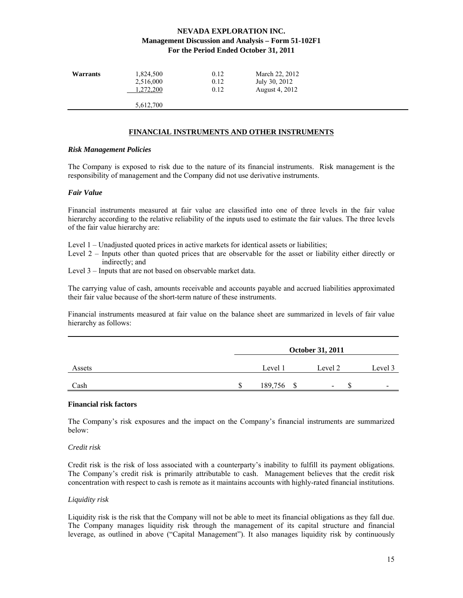| Warrants | 1,824,500 | 0.12 | March 22, 2012 |
|----------|-----------|------|----------------|
|          | 2,516,000 | 0.12 | July 30, 2012  |
|          | 1,272,200 | 0.12 | August 4, 2012 |
|          | 5,612,700 |      |                |

### **FINANCIAL INSTRUMENTS AND OTHER INSTRUMENTS**

#### *Risk Management Policies*

The Company is exposed to risk due to the nature of its financial instruments. Risk management is the responsibility of management and the Company did not use derivative instruments.

#### *Fair Value*

Financial instruments measured at fair value are classified into one of three levels in the fair value hierarchy according to the relative reliability of the inputs used to estimate the fair values. The three levels of the fair value hierarchy are:

Level 1 – Unadjusted quoted prices in active markets for identical assets or liabilities;

- Level 2 Inputs other than quoted prices that are observable for the asset or liability either directly or indirectly; and
- Level 3 Inputs that are not based on observable market data.

The carrying value of cash, amounts receivable and accounts payable and accrued liabilities approximated their fair value because of the short-term nature of these instruments.

Financial instruments measured at fair value on the balance sheet are summarized in levels of fair value hierarchy as follows:

|        | <b>October 31, 2011</b> |            |                          |                          |  |
|--------|-------------------------|------------|--------------------------|--------------------------|--|
| Assets |                         | Level 1    | Level 2                  | Level 3                  |  |
| Cash   |                         | 189,756 \$ | $\overline{\phantom{0}}$ | $\overline{\phantom{0}}$ |  |

### **Financial risk factors**

The Company's risk exposures and the impact on the Company's financial instruments are summarized below:

#### *Credit risk*

Credit risk is the risk of loss associated with a counterparty's inability to fulfill its payment obligations. The Company's credit risk is primarily attributable to cash. Management believes that the credit risk concentration with respect to cash is remote as it maintains accounts with highly-rated financial institutions.

#### *Liquidity risk*

Liquidity risk is the risk that the Company will not be able to meet its financial obligations as they fall due. The Company manages liquidity risk through the management of its capital structure and financial leverage, as outlined in above ("Capital Management"). It also manages liquidity risk by continuously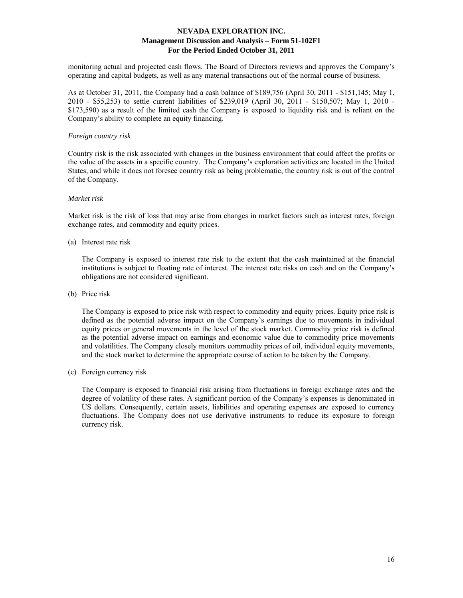monitoring actual and projected cash flows. The Board of Directors reviews and approves the Company's operating and capital budgets, as well as any material transactions out of the normal course of business.

As at October 31, 2011, the Company had a cash balance of \$189,756 (April 30, 2011 - \$151,145; May 1, 2010 - \$55,253) to settle current liabilities of \$239,019 (April 30, 2011 - \$150,507; May 1, 2010 - \$173,590) as a result of the limited cash the Company is exposed to liquidity risk and is reliant on the Company's ability to complete an equity financing.

#### *Foreign country risk*

Country risk is the risk associated with changes in the business environment that could affect the profits or the value of the assets in a specific country. The Company's exploration activities are located in the United States, and while it does not foresee country risk as being problematic, the country risk is out of the control of the Company.

### *Market risk*

Market risk is the risk of loss that may arise from changes in market factors such as interest rates, foreign exchange rates, and commodity and equity prices.

(a) Interest rate risk

 The Company is exposed to interest rate risk to the extent that the cash maintained at the financial institutions is subject to floating rate of interest. The interest rate risks on cash and on the Company's obligations are not considered significant.

(b) Price risk

 The Company is exposed to price risk with respect to commodity and equity prices. Equity price risk is defined as the potential adverse impact on the Company's earnings due to movements in individual equity prices or general movements in the level of the stock market. Commodity price risk is defined as the potential adverse impact on earnings and economic value due to commodity price movements and volatilities. The Company closely monitors commodity prices of oil, individual equity movements, and the stock market to determine the appropriate course of action to be taken by the Company.

(c) Foreign currency risk

 The Company is exposed to financial risk arising from fluctuations in foreign exchange rates and the degree of volatility of these rates. A significant portion of the Company's expenses is denominated in US dollars. Consequently, certain assets, liabilities and operating expenses are exposed to currency fluctuations. The Company does not use derivative instruments to reduce its exposure to foreign currency risk.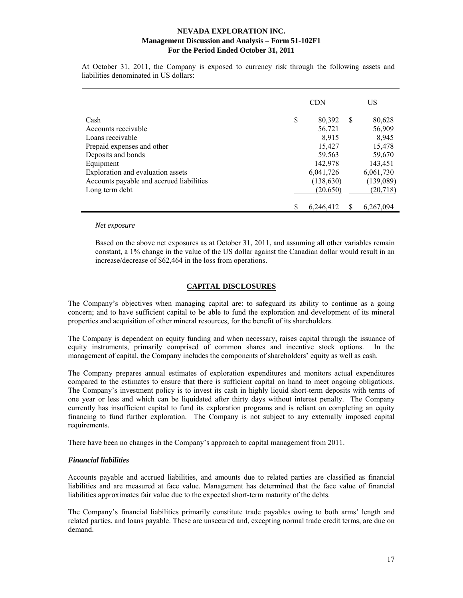At October 31, 2011, the Company is exposed to currency risk through the following assets and liabilities denominated in US dollars:

|                                          | <b>CDN</b>      |   | US        |
|------------------------------------------|-----------------|---|-----------|
| Cash                                     | \$<br>80,392    | S | 80,628    |
| Accounts receivable                      | 56,721          |   | 56,909    |
| Loans receivable                         | 8.915           |   | 8,945     |
| Prepaid expenses and other               | 15,427          |   | 15,478    |
| Deposits and bonds                       | 59,563          |   | 59,670    |
| Equipment                                | 142,978         |   | 143,451   |
| Exploration and evaluation assets        | 6,041,726       |   | 6,061,730 |
| Accounts payable and accrued liabilities | (138, 630)      |   | (139,089) |
| Long term debt                           | (20, 650)       |   | (20, 718) |
|                                          | \$<br>6,246,412 |   | 6,267,094 |

#### *Net exposure*

Based on the above net exposures as at October 31, 2011, and assuming all other variables remain constant, a 1% change in the value of the US dollar against the Canadian dollar would result in an increase/decrease of \$62,464 in the loss from operations.

## **CAPITAL DISCLOSURES**

The Company's objectives when managing capital are: to safeguard its ability to continue as a going concern; and to have sufficient capital to be able to fund the exploration and development of its mineral properties and acquisition of other mineral resources, for the benefit of its shareholders.

The Company is dependent on equity funding and when necessary, raises capital through the issuance of equity instruments, primarily comprised of common shares and incentive stock options. In the management of capital, the Company includes the components of shareholders' equity as well as cash.

The Company prepares annual estimates of exploration expenditures and monitors actual expenditures compared to the estimates to ensure that there is sufficient capital on hand to meet ongoing obligations. The Company's investment policy is to invest its cash in highly liquid short-term deposits with terms of one year or less and which can be liquidated after thirty days without interest penalty. The Company currently has insufficient capital to fund its exploration programs and is reliant on completing an equity financing to fund further exploration. The Company is not subject to any externally imposed capital requirements.

There have been no changes in the Company's approach to capital management from 2011.

### *Financial liabilities*

Accounts payable and accrued liabilities, and amounts due to related parties are classified as financial liabilities and are measured at face value. Management has determined that the face value of financial liabilities approximates fair value due to the expected short-term maturity of the debts.

The Company's financial liabilities primarily constitute trade payables owing to both arms' length and related parties, and loans payable. These are unsecured and, excepting normal trade credit terms, are due on demand.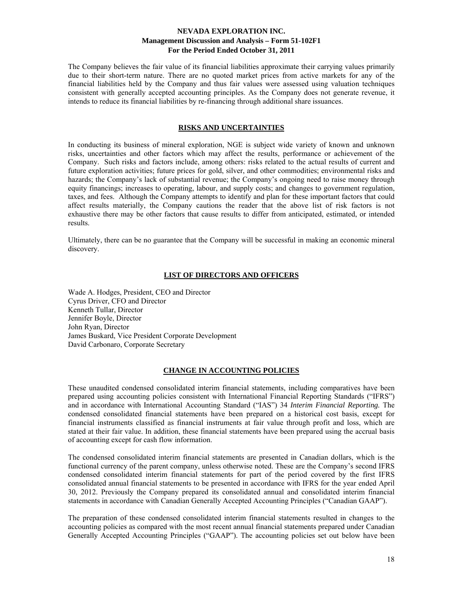The Company believes the fair value of its financial liabilities approximate their carrying values primarily due to their short-term nature. There are no quoted market prices from active markets for any of the financial liabilities held by the Company and thus fair values were assessed using valuation techniques consistent with generally accepted accounting principles. As the Company does not generate revenue, it intends to reduce its financial liabilities by re-financing through additional share issuances.

#### **RISKS AND UNCERTAINTIES**

In conducting its business of mineral exploration, NGE is subject wide variety of known and unknown risks, uncertainties and other factors which may affect the results, performance or achievement of the Company. Such risks and factors include, among others: risks related to the actual results of current and future exploration activities; future prices for gold, silver, and other commodities; environmental risks and hazards; the Company's lack of substantial revenue; the Company's ongoing need to raise money through equity financings; increases to operating, labour, and supply costs; and changes to government regulation, taxes, and fees. Although the Company attempts to identify and plan for these important factors that could affect results materially, the Company cautions the reader that the above list of risk factors is not exhaustive there may be other factors that cause results to differ from anticipated, estimated, or intended results.

Ultimately, there can be no guarantee that the Company will be successful in making an economic mineral discovery.

#### **LIST OF DIRECTORS AND OFFICERS**

Wade A. Hodges, President, CEO and Director Cyrus Driver, CFO and Director Kenneth Tullar, Director Jennifer Boyle, Director John Ryan, Director James Buskard, Vice President Corporate Development David Carbonaro, Corporate Secretary

#### **CHANGE IN ACCOUNTING POLICIES**

These unaudited condensed consolidated interim financial statements, including comparatives have been prepared using accounting policies consistent with International Financial Reporting Standards ("IFRS") and in accordance with International Accounting Standard ("IAS") 34 *Interim Financial Reporting.* The condensed consolidated financial statements have been prepared on a historical cost basis, except for financial instruments classified as financial instruments at fair value through profit and loss, which are stated at their fair value. In addition, these financial statements have been prepared using the accrual basis of accounting except for cash flow information.

The condensed consolidated interim financial statements are presented in Canadian dollars, which is the functional currency of the parent company, unless otherwise noted. These are the Company's second IFRS condensed consolidated interim financial statements for part of the period covered by the first IFRS consolidated annual financial statements to be presented in accordance with IFRS for the year ended April 30, 2012. Previously the Company prepared its consolidated annual and consolidated interim financial statements in accordance with Canadian Generally Accepted Accounting Principles ("Canadian GAAP").

The preparation of these condensed consolidated interim financial statements resulted in changes to the accounting policies as compared with the most recent annual financial statements prepared under Canadian Generally Accepted Accounting Principles ("GAAP"). The accounting policies set out below have been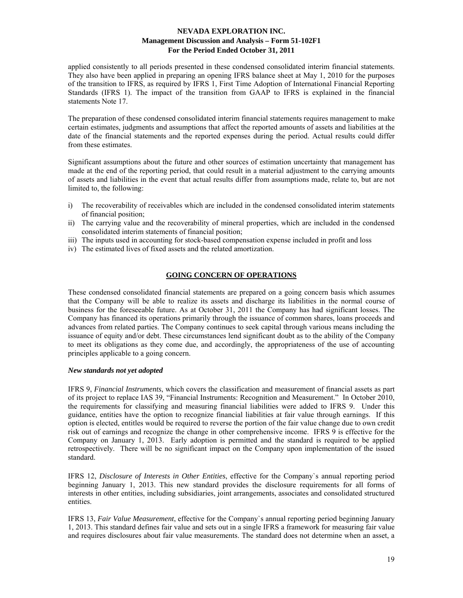applied consistently to all periods presented in these condensed consolidated interim financial statements. They also have been applied in preparing an opening IFRS balance sheet at May 1, 2010 for the purposes of the transition to IFRS, as required by IFRS 1, First Time Adoption of International Financial Reporting Standards (IFRS 1). The impact of the transition from GAAP to IFRS is explained in the financial statements Note 17.

The preparation of these condensed consolidated interim financial statements requires management to make certain estimates, judgments and assumptions that affect the reported amounts of assets and liabilities at the date of the financial statements and the reported expenses during the period. Actual results could differ from these estimates.

Significant assumptions about the future and other sources of estimation uncertainty that management has made at the end of the reporting period, that could result in a material adjustment to the carrying amounts of assets and liabilities in the event that actual results differ from assumptions made, relate to, but are not limited to, the following:

- i) The recoverability of receivables which are included in the condensed consolidated interim statements of financial position;
- ii) The carrying value and the recoverability of mineral properties, which are included in the condensed consolidated interim statements of financial position;
- iii) The inputs used in accounting for stock-based compensation expense included in profit and loss
- iv) The estimated lives of fixed assets and the related amortization.

### **GOING CONCERN OF OPERATIONS**

These condensed consolidated financial statements are prepared on a going concern basis which assumes that the Company will be able to realize its assets and discharge its liabilities in the normal course of business for the foreseeable future. As at October 31, 2011 the Company has had significant losses. The Company has financed its operations primarily through the issuance of common shares, loans proceeds and advances from related parties. The Company continues to seek capital through various means including the issuance of equity and/or debt. These circumstances lend significant doubt as to the ability of the Company to meet its obligations as they come due, and accordingly, the appropriateness of the use of accounting principles applicable to a going concern.

#### *New standards not yet adopted*

IFRS 9, *Financial Instruments*, which covers the classification and measurement of financial assets as part of its project to replace IAS 39, "Financial Instruments: Recognition and Measurement." In October 2010, the requirements for classifying and measuring financial liabilities were added to IFRS 9. Under this guidance, entities have the option to recognize financial liabilities at fair value through earnings. If this option is elected, entitles would be required to reverse the portion of the fair value change due to own credit risk out of earnings and recognize the change in other comprehensive income. IFRS 9 is effective for the Company on January 1, 2013. Early adoption is permitted and the standard is required to be applied retrospectively. There will be no significant impact on the Company upon implementation of the issued standard.

IFRS 12, *Disclosure of Interests in Other Entities*, effective for the Company`s annual reporting period beginning January 1, 2013. This new standard provides the disclosure requirements for all forms of interests in other entities, including subsidiaries, joint arrangements, associates and consolidated structured entities.

IFRS 13, *Fair Value Measurement*, effective for the Company`s annual reporting period beginning January 1, 2013. This standard defines fair value and sets out in a single IFRS a framework for measuring fair value and requires disclosures about fair value measurements. The standard does not determine when an asset, a